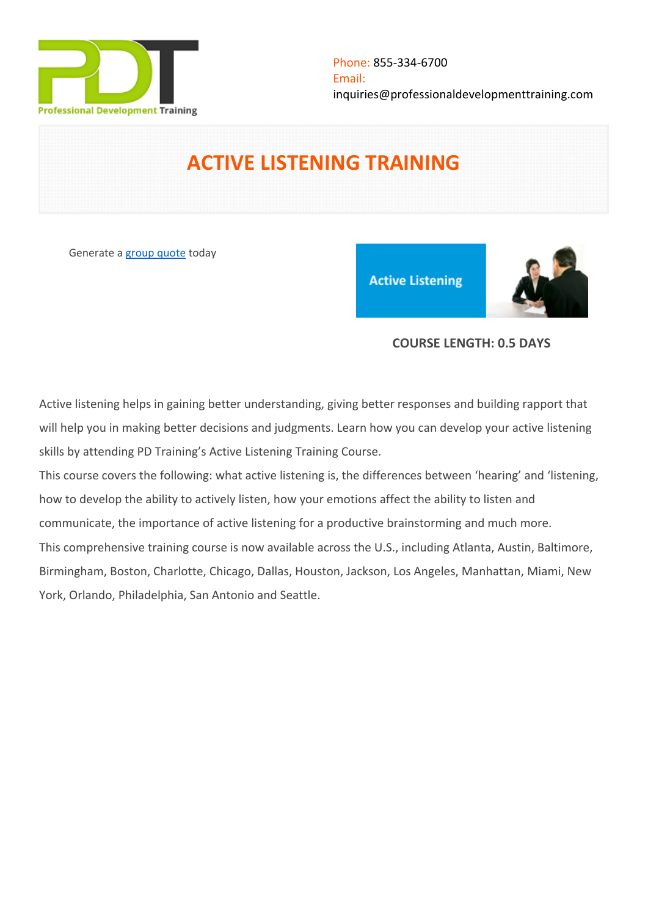

# **ACTIVE LISTENING TRAINING**

Generate a [group quote](https://professionaldevelopmenttraining.com/inhouse-training-quote?cse=PDT0001) today

**Active Listening** 



### **COURSE LENGTH: 0.5 DAYS**

Active listening helps in gaining better understanding, giving better responses and building rapport that will help you in making better decisions and judgments. Learn how you can develop your active listening skills by attending PD Training's Active Listening Training Course.

This course covers the following: what active listening is, the differences between 'hearing' and 'listening, how to develop the ability to actively listen, how your emotions affect the ability to listen and communicate, the importance of active listening for a productive brainstorming and much more. This comprehensive training course is now available across the U.S., including Atlanta, Austin, Baltimore, Birmingham, Boston, Charlotte, Chicago, Dallas, Houston, Jackson, Los Angeles, Manhattan, Miami, New York, Orlando, Philadelphia, San Antonio and Seattle.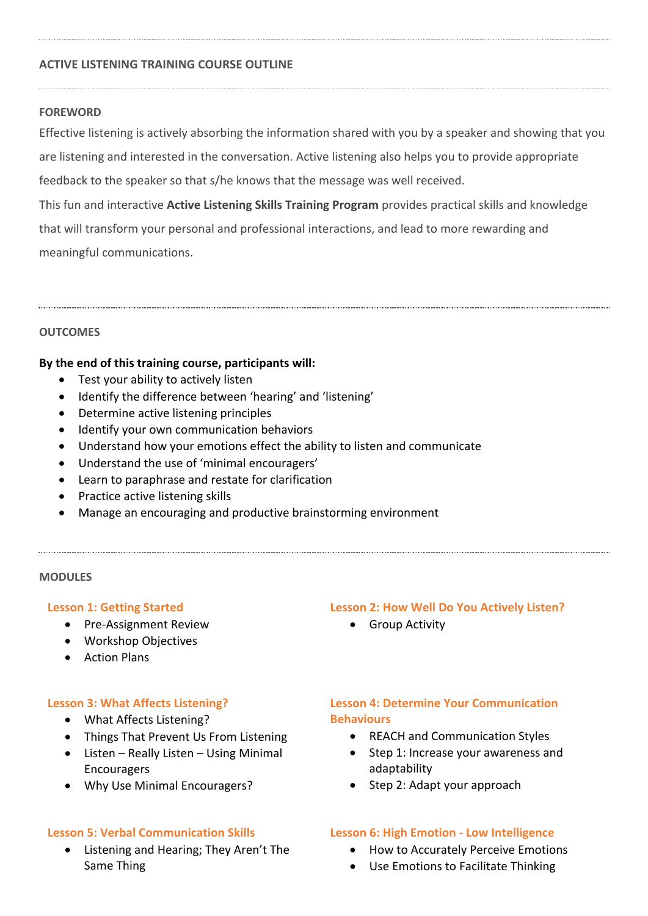#### **ACTIVE LISTENING TRAINING COURSE OUTLINE**

#### **FOREWORD**

Effective listening is actively absorbing the information shared with you by a speaker and showing that you are listening and interested in the conversation. Active listening also helps you to provide appropriate feedback to the speaker so that s/he knows that the message was well received. This fun and interactive **Active Listening Skills Training Program** provides practical skills and knowledge

that will transform your personal and professional interactions, and lead to more rewarding and meaningful communications.

#### **OUTCOMES**

#### **By the end of this training course, participants will:**

- Test your ability to actively listen
- Identify the difference between 'hearing' and 'listening'
- Determine active listening principles
- Identify your own communication behaviors
- Understand how your emotions effect the ability to listen and communicate
- Understand the use of 'minimal encouragers'
- Learn to paraphrase and restate for clarification
- Practice active listening skills
- Manage an encouraging and productive brainstorming environment

#### **MODULES**

#### **Lesson 1: Getting Started**

- Pre-Assignment Review
- Workshop Objectives
- **•** Action Plans

#### **Lesson 3: What Affects Listening?**

- What Affects Listening?
- Things That Prevent Us From Listening
- Listen Really Listen Using Minimal Encouragers
- Why Use Minimal Encouragers?

#### **Lesson 5: Verbal Communication Skills**

 Listening and Hearing; They Aren't The Same Thing

#### **Lesson 2: How Well Do You Actively Listen?**

**•** Group Activity

## **Lesson 4: Determine Your Communication Behaviours**

- REACH and Communication Styles
- Step 1: Increase your awareness and adaptability
- Step 2: Adapt your approach

#### **Lesson 6: High Emotion - Low Intelligence**

- How to Accurately Perceive Emotions
- Use Emotions to Facilitate Thinking